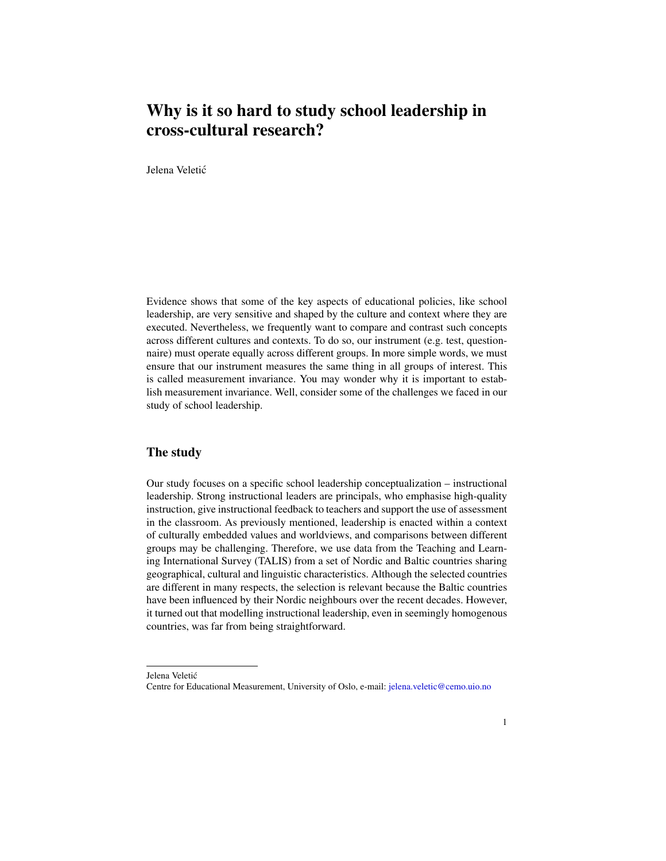## Why is it so hard to study school leadership in cross-cultural research?

Jelena Veletic´

Evidence shows that some of the key aspects of educational policies, like school leadership, are very sensitive and shaped by the culture and context where they are executed. Nevertheless, we frequently want to compare and contrast such concepts across different cultures and contexts. To do so, our instrument (e.g. test, questionnaire) must operate equally across different groups. In more simple words, we must ensure that our instrument measures the same thing in all groups of interest. This is called measurement invariance. You may wonder why it is important to establish measurement invariance. Well, consider some of the challenges we faced in our study of school leadership.

## The study

Our study focuses on a specific school leadership conceptualization – instructional leadership. Strong instructional leaders are principals, who emphasise high-quality instruction, give instructional feedback to teachers and support the use of assessment in the classroom. As previously mentioned, leadership is enacted within a context of culturally embedded values and worldviews, and comparisons between different groups may be challenging. Therefore, we use data from the Teaching and Learning International Survey (TALIS) from a set of Nordic and Baltic countries sharing geographical, cultural and linguistic characteristics. Although the selected countries are different in many respects, the selection is relevant because the Baltic countries have been influenced by their Nordic neighbours over the recent decades. However, it turned out that modelling instructional leadership, even in seemingly homogenous countries, was far from being straightforward.

Jelena Veletić

Centre for Educational Measurement, University of Oslo, e-mail: [jelena.veletic@cemo.uio.no](mailto:jelena.veletic@cemo.uio.no)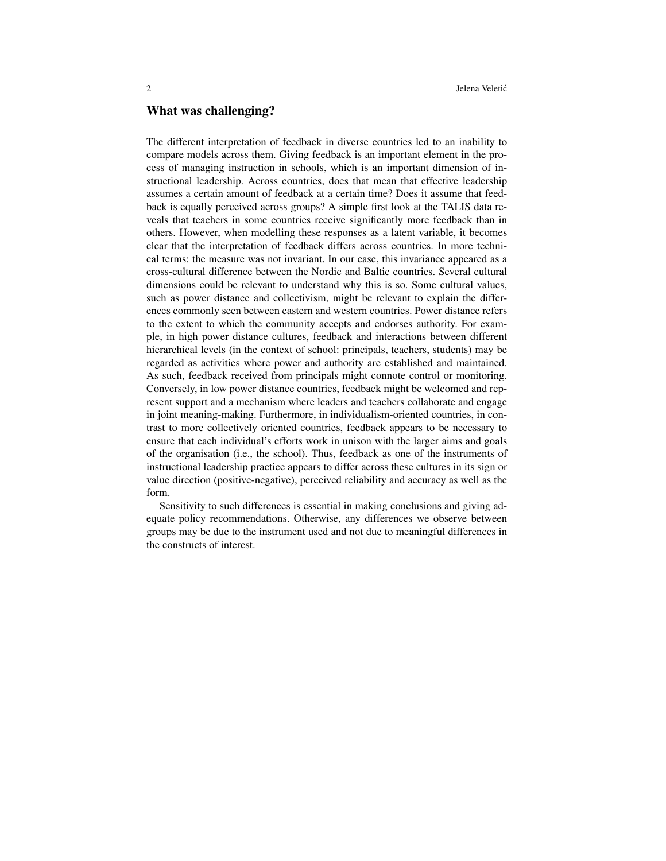## What was challenging?

The different interpretation of feedback in diverse countries led to an inability to compare models across them. Giving feedback is an important element in the process of managing instruction in schools, which is an important dimension of instructional leadership. Across countries, does that mean that effective leadership assumes a certain amount of feedback at a certain time? Does it assume that feedback is equally perceived across groups? A simple first look at the TALIS data reveals that teachers in some countries receive significantly more feedback than in others. However, when modelling these responses as a latent variable, it becomes clear that the interpretation of feedback differs across countries. In more technical terms: the measure was not invariant. In our case, this invariance appeared as a cross-cultural difference between the Nordic and Baltic countries. Several cultural dimensions could be relevant to understand why this is so. Some cultural values, such as power distance and collectivism, might be relevant to explain the differences commonly seen between eastern and western countries. Power distance refers to the extent to which the community accepts and endorses authority. For example, in high power distance cultures, feedback and interactions between different hierarchical levels (in the context of school: principals, teachers, students) may be regarded as activities where power and authority are established and maintained. As such, feedback received from principals might connote control or monitoring. Conversely, in low power distance countries, feedback might be welcomed and represent support and a mechanism where leaders and teachers collaborate and engage in joint meaning-making. Furthermore, in individualism-oriented countries, in contrast to more collectively oriented countries, feedback appears to be necessary to ensure that each individual's efforts work in unison with the larger aims and goals of the organisation (i.e., the school). Thus, feedback as one of the instruments of instructional leadership practice appears to differ across these cultures in its sign or value direction (positive-negative), perceived reliability and accuracy as well as the form.

Sensitivity to such differences is essential in making conclusions and giving adequate policy recommendations. Otherwise, any differences we observe between groups may be due to the instrument used and not due to meaningful differences in the constructs of interest.